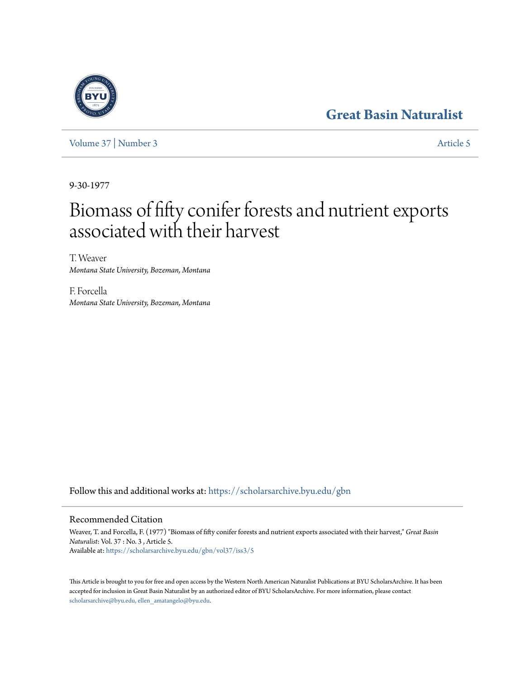## **[Great Basin Naturalist](https://scholarsarchive.byu.edu/gbn?utm_source=scholarsarchive.byu.edu%2Fgbn%2Fvol37%2Fiss3%2F5&utm_medium=PDF&utm_campaign=PDFCoverPages)**

[Volume 37](https://scholarsarchive.byu.edu/gbn/vol37?utm_source=scholarsarchive.byu.edu%2Fgbn%2Fvol37%2Fiss3%2F5&utm_medium=PDF&utm_campaign=PDFCoverPages) | [Number 3](https://scholarsarchive.byu.edu/gbn/vol37/iss3?utm_source=scholarsarchive.byu.edu%2Fgbn%2Fvol37%2Fiss3%2F5&utm_medium=PDF&utm_campaign=PDFCoverPages) [Article 5](https://scholarsarchive.byu.edu/gbn/vol37/iss3/5?utm_source=scholarsarchive.byu.edu%2Fgbn%2Fvol37%2Fiss3%2F5&utm_medium=PDF&utm_campaign=PDFCoverPages)

9-30-1977

# Biomass of fifty conifer forests and nutrient exports associated with their harvest

T. Weaver *Montana State University, Bozeman, Montana*

F. Forcella *Montana State University, Bozeman, Montana*

Follow this and additional works at: [https://scholarsarchive.byu.edu/gbn](https://scholarsarchive.byu.edu/gbn?utm_source=scholarsarchive.byu.edu%2Fgbn%2Fvol37%2Fiss3%2F5&utm_medium=PDF&utm_campaign=PDFCoverPages)

### Recommended Citation

Weaver, T. and Forcella, F. (1977) "Biomass of fifty conifer forests and nutrient exports associated with their harvest," *Great Basin Naturalist*: Vol. 37 : No. 3 , Article 5. Available at: [https://scholarsarchive.byu.edu/gbn/vol37/iss3/5](https://scholarsarchive.byu.edu/gbn/vol37/iss3/5?utm_source=scholarsarchive.byu.edu%2Fgbn%2Fvol37%2Fiss3%2F5&utm_medium=PDF&utm_campaign=PDFCoverPages)

This Article is brought to you for free and open access by the Western North American Naturalist Publications at BYU ScholarsArchive. It has been accepted for inclusion in Great Basin Naturalist by an authorized editor of BYU ScholarsArchive. For more information, please contact [scholarsarchive@byu.edu, ellen\\_amatangelo@byu.edu.](mailto:scholarsarchive@byu.edu,%20ellen_amatangelo@byu.edu)

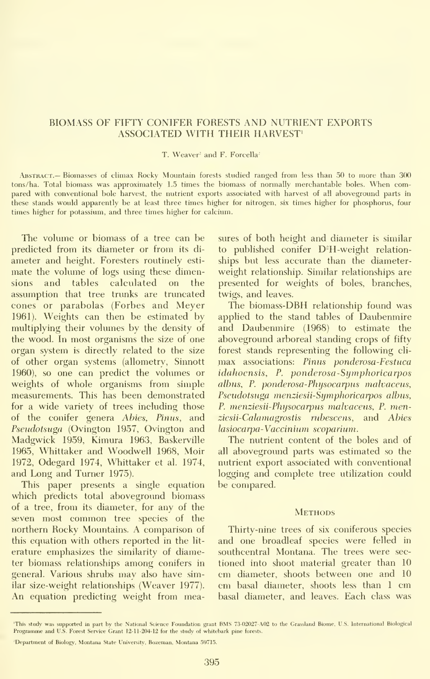#### BIOMASS OF FIFTY CONIFER FORESTS AND NUTRIENT EXPORTS ASSOCIATED WITH THEIR HARVEST'

#### T. Weaver<sup>2</sup> and F. Forcella<sup>2</sup>

Abstract.— Biomasses of climax Rocky Mountain forests studied ranged from less than 50 to more than 300 tons/ha. Total biomass was approximately 1.5 times the biomass of normally merchantable boles. When compared with conventional bole harvest, the nutrient exports associated with harvest of all aboveground parts in these stands would apparently be at least three times higher for nitrogen, six times higher for phosphorus, four times higher for potassium, and three times higher for calcium.

The volume or biomass of a tree can be predicted from its diameter or from its di ameter and height. Foresters routinely esti mate the volume of logs using these dimensions and tables calculated on the assumption that tree trunks are truncated cones or parabolas (Forbes and Meyer 1961). Weights can then be estimated by multiplying their volumes by the density of the wood. In most organisms the size of one organ system is directly related to the size of other organ systems (allometry, Sinnott 1960), so one can predict the volumes or weights of whole organisms from simple measurements. This has been demonstrated for a wide variety of trees including those of the conifer genera Abies, Pinus, and Pseudotsuga (Ovington 1957, Ovington and Madgwick 1959, Kimura 1963, Baskerville 1965, Whittaker and Woodwell 1968, Moir 1972, Odegard 1974, Whittaker et al. 1974, and Long and Turner 1975).

This paper presents a single equation which predicts total aboveground biomass of a tree, from its diameter, for any of the seven most common tree species of the northern Rocky Mountains. A comparison of this equation with others reported in the lit erature emphasizes the similarity of diameter biomass relationships among conifers in general. Various shrubs may also have similar size-weight relationships (Weaver 1977). An equation predicting weight from measures of both height and diameter is similar to published conifer  $D^2H$ -weight relationships but less accurate than the diameter weight relationship. Similar relationships are presented for weights of boles, branches, twigs, and leaves.

The biomass-DBH relationship found was applied to the stand tables of Daubenmire and Daubenmire (1968) to estimate the aboveground arboreal standing crops of fifty forest stands representing the following cli max associations: Pinus ponderosa-Festuca idahoensis, F. ponderosa-Sijmphoricarpos albus, P. ponderosa-Physocarpus malvaceus, Pseudotsuga menziesii-Symphoricarpos albus, F. menziesii-Fhysocarpus malvaceus, F. menziesii-Calamagrostis rubescens, and Abies lasiocarpa-Vaccinium scoparium.

The nutrient content of the boles and of all aboveground parts was estimated so the nutrient export associated with conventional logging and complete tree utilization could be compared.

#### **METHODS**

Thirty-nine trees of six coniferous species and one broadleaf species were felled in southcentral Montana. The trees were sec tioned into shoot material greater than 10 cm diameter, shoots between one and 10 cm basal diameter, shoots less than <sup>1</sup> cm basal diameter, and leaves. Each class was

This study was supported in part by the National Science Foundation grant BMS 73-02027-A02 to the Grassland Biome, U.S. International Biological Programme and U.S. Forest Service Grant 12-11-204-12 for the study of whitebark pine forests.

<sup>&#</sup>x27;Department of Biology, Montana State University, Bozeman, Montana 59715.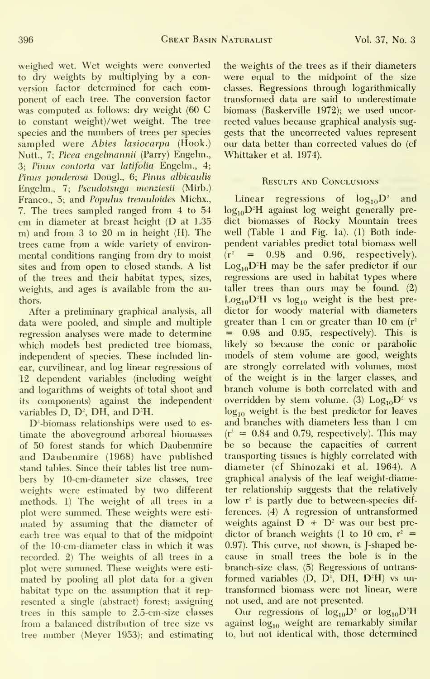weighed wet. Wet weights were converted to dry weights by multiplying by a conversion factor determined for each component of each tree. The conversion factor was computed as follows: dry weight (60 C to constant weight)/wet weight. The tree species and the numbers of trees per species sampled were Abies lasiocarpa (Hook.) Nutt., 7; Picea engelmannii (Parry) Engelm., 3; Pinus contorta var latifolia Engelm., 4; Pinus ponderosa Dougl., 6; Pinus albicaulis Engelm., 7; Fsendotsnga menziesii (Mirb.) Franco., 5; and Populus tremuloides Michx., 7. The trees sampled ranged from 4 to 54 cm in diameter at breast height (D at 1.35 m) and from <sup>3</sup> to <sup>20</sup> m in height (H). The trees came from a wide variety of environ mental conditions ranging from dry to moist sites and from open to closed stands. A listof the trees and their habitat types, sizes, weights, and ages is available from the authors.

After a preliminary graphical analysis, all data were pooled, and simple and multiple regression analyses were made to determine which models best predicted tree biomass, independent of species. These included lin ear, curvilinear, and log linear regressions of 12 dependent variables (including weight and logarithms of weights of total shoot and its components) against the independent variables  $D$ ,  $D^2$ ,  $DH$ , and  $D^2H$ .

D<sup>2</sup>-biomass relationships were used to estimate the aboveground arboreal biomasses of 50 forest stands for which Daubenmire and Daubenmire (1968) have published stand tables. Since their tables list tree numbers by 10-cm-diameter size classes, tree weights were estimated by two different methods. 1) The weight of all trees in a plot were summed. These weights were esti mated by assuming that the diameter of each tree was equal to that of the midpoint of the 10-cm-diameter class in which it was recorded. 2) The weights of all trees in a plot were summed. These weights were esti mated by pooling all plot data for a given habitat type on the assumption that it rep resented a single (abstract) forest; assigning trees in this sample to 2.5-cm-size classes from a balanced distribution of tree size vs tree number (Meyer 1953); and estimating the weights of the trees as if their diameters were equal to the midpoint of the size classes. Regressions through logarithmically transformed data are said to underestimate biomass (Baskerville 1972); we used uncorrected values because graphical analysis suggests that the imcorrected values represent our data better than corrected values do (cf Whittaker et al. 1974).

#### Results and Conclusions

Linear regressions of  $log_{10}D^2$  and  $log_{10}D^3$ H against  $log$  weight generally predict biomasses of Rocky Mountain trees well (Table <sup>1</sup> and Fig. la). (1) Both inde pendent variables predict total biomass well  $\bar{r}$  = 0.98 and 0.96, respectively).  $Log_{10}D^2H$  may be the safer predictor if our regressions are used in habitat types where taller trees than ours may be found. (2)  $Log_{10}D^2H$  vs  $log_{10}$  weight is the best predictor for woody material with diameters greater than 1 cm or greater than 10 cm  $(r^2)$ = 0.98 and 0.95, respectively). This is likely so because the conic or parabolic models of stem volume are good, weights are strongly correlated with volumes, most of the weight is in the larger classes, and branch volume is both correlated with and overridden by stem volume. (3)  $Log_{10}D^2$  vs  $log<sub>10</sub>$  weight is the best predictor for leaves and branches with diameters less than 1 cm  $(r^2 = 0.84$  and 0.79, respectively). This may be so because the capacities of current transporting tissues is highly correlated with diameter (cf Shinozaki et al. 1964). A graphical analysis of the leaf weight-diameter relationship suggests that the relatively low r<sup>2</sup> is partly due to between-species differences. (4) A regression of untransformed weights against  $D + D^2$  was our best predictor of branch weights (1 to 10 cm,  $r^2$  = 0.97). This curve, not shown, is J-shaped be cause in small trees the bole is in the branch-size class. (5) Regressions of untrans formed variables  $(D, D^2, DH, D^2H)$  vs untransformed biomass were not linear, were not used, and are not presented.

Our regressions of  $log_{10}D^2$  or  $log_{10}D^2H$ against  $log_{10}$  weight are remarkably similar to, but not identical with, those determined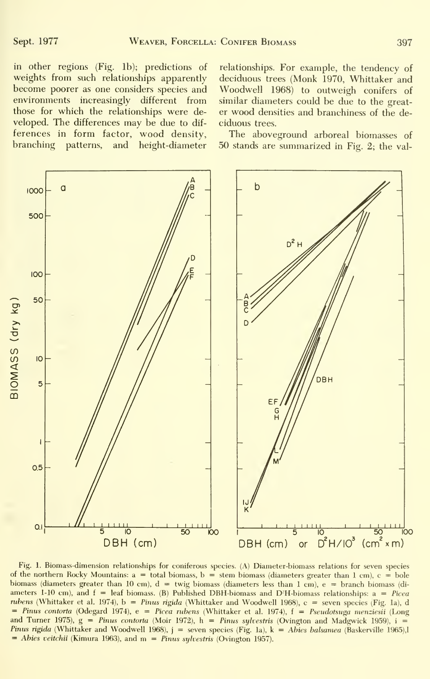in other regions (Fig. lb); predictions of weights from such relationships apparently become poorer as one considers species and environments increasingly different from those for which the relationships were de veloped. The differences may be due to dif ferences in form factor, wood density, branching patterns, and height-diameter

relationships. For example, the tendency of deciduous trees (Monk 1970, Whittaker and Woodwell 1968) to outweigh conifers of similar diameters could be due to the greater wood densities and branchiness of the de ciduous trees.

The aboveground arboreal biomasses of 50 stands are summarized in Fig. 2; the val-



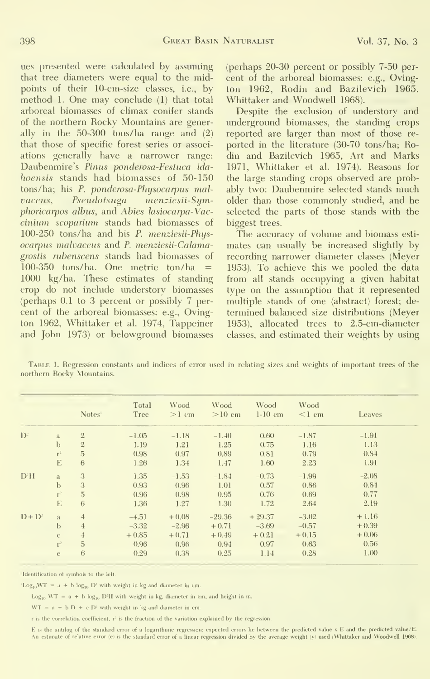ues presented were calculated by assuming that tree diameters were equal to the midpoints of their 10-cm-size classes, i.e., by method 1. One may conclude (1) that total arboreal biomasses of climax conifer stands of the northern Rocky Mountains are generally in the 50-300 tons/ha range and (2) that those of specific forest series or associ ations generally have a narrower range: Daubenmire's Pinus ponderosa-Festuca ida hoensis stands had biomasses of 50-150 tons/ha; his P. ponderosa-Physocarpus malvaceus, Pseudotsuga menziesii-Symphoricarpos albus, and Abies lasiocarpa-Vac cinium scopariwn stands had biomasses of 100-250 tons/ha and his P. menziesii-Physocarpus malvaceus and P. menziesii-Calamagrostis nibenscens stands had biomasses of 100-350 tons/ha. One metric ton/ha  $=$ 1000 kg/ha. These estimates of standing crop do not include understory biomasses (perhaps 0.1 to 3 percent or possibly 7 per cent of the arboreal biomasses: e.g., Ovington 1962, Whittaker et al. 1974, Tappeiner and John 1973) or belowground biomasses (perhaps 20-30 percent or possibly 7-50 per cent of the arboreal biomasses: e.g., Ovington 1962, Rodin and Bazilevich 1965, Whittaker and Woodwell 1968).

Despite the exclusion of understory and underground biomasses, the standing crops reported are larger than most of those re ported in the literature (30-70 tons/ha; Rodin and Bazilevich 1965, Art and Marks 1971, Whittaker et al. 1974). Reasons for the large standing crops observed are probably two: Daubenmire selected stands much older than those commonly studied, and he selected the parts of those stands with the biggest trees.

The accuracy of volume and biomass esti mates can usually be increased slightly by recording narrower diameter classes (Meyer 1953). To achieve this we pooled the data from all stands occupying a given habitat type on the assumption that it represented multiple stands of one (abstract) forest; de termined balanced size distributions (Meyer 1953), allocated trees to 2.5-cm-diameter classes, and estimated their weights by using

|                  |               | Notes <sup>1</sup> | Total<br>Tree | Wood<br>$>1$ cm | Wood<br>$>10$ cm | Wood<br>$1-10$ cm | Wood<br>$\leq 1$ cm | Leaves  |
|------------------|---------------|--------------------|---------------|-----------------|------------------|-------------------|---------------------|---------|
| $D^2$            | a             | $\overline{2}$     | $-1.05$       | $-1.18$         | $-1.40$          | 0.60              | $-1.87$             | $-1.91$ |
|                  | $\mathbf b$   | $\overline{2}$     | 1.19          | 1.21            | 1.25             | 0.75              | 1.16                | 1.13    |
|                  | $r^2$         | $\overline{5}$     | 0.98          | 0.97            | 0.89             | 0.81              | 0.79                | 0.84    |
|                  | E             | 6                  | 1.26          | 1.34            | 1.47             | 1.60              | 2.23                | 1.91    |
| D <sup>2</sup> H | $\mathbf{a}$  | 3                  | 1.35          | $-1.53$         | $-1.84$          | $-0.73$           | $-1.99$             | $-2.08$ |
|                  | $\mathbf b$   | 3                  | 0.93          | 0.96            | 1.01             | 0.57              | 0.86                | 0.84    |
|                  | $r^2$         | $\overline{5}$     | 0.96          | 0.98            | 0.95             | 0.76              | 0.69                | 0.77    |
|                  | E             | 6                  | 1.36          | 1.27            | 1.30             | 1.72              | 2.64                | 2.19    |
| $D+D^2$          | a             | $\overline{4}$     | $-4.51$       | $+0.08$         | $-29.36$         | $+29.37$          | $-3.02$             | $+1.16$ |
|                  | $\mathbf b$   | $\overline{4}$     | $-3.32$       | $-2.96$         | $+0.71$          | $-3.69$           | $-0.57$             | $+0.39$ |
|                  | $\mathcal{C}$ | $\overline{4}$     | $+0.85$       | $+0.71$         | $+0.49$          | $+0.21$           | $+0.15$             | $+0.06$ |
|                  | $r^2$         | 5                  | 0.96          | 0.96            | 0.94             | 0.97              | 0.63                | 0.56    |
|                  | e             | 6                  | 0.29          | 0.38            | 0.25             | 1.14              | 0.28                | 1.00    |

Table 1. Regression constants and indices of error used in relating sizes and weights of important trees of the northern Rocky Mountains.

Identification of symbols to the left

Log<sub>10</sub>WT =  $a + b \log_{10} D^2$  with weight in kg and diameter in cm.

 $Log_{10} WT = a + b log_{10} D'H$  with weight in kg, diameter in cm, and height in m.

 $WT = a + b D + c D'$  with weight in kg and diameter in cm.

r is the correlation coefficient, r' is the fraction of the variation explained by the regression.

E is the antilog of the standard error of a logarithmic regression; expected errors lie between the predicted value x E and the predicted value/E An estimate of relative error (e) is the standard error of a linear regression divided by the average weight (y) used (Whittaker and Woodwell 1968).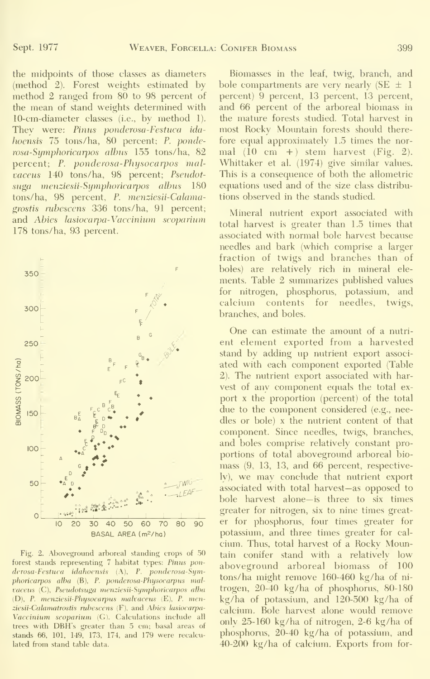the midpoints of those classes as diameters (method 2). Forest weights estimated by method 2 ranged from 80 to 98 percent of the mean of stand weights determined with 10-cm-diameter classes (i.e., by method 1). They were: Pinus ponderosa-Festuca ida hoensis 75 tons/ha, 80 percent; P. ponderosa-Symphoricarpos albus 155 tons/ha, 82 percent; P. ponderosa-Physocarpos malvaceus 140 tons/ha, 98 percent; Pseudotsuga menziesii-Symphoricarpos albus 180 tons/ha, 98 percent, P. menziesii-Calamagrostis ruhescens 336 tons/ha, 91 percent; and Abies lasiocarpa-Vaccinium scoparium 178 tons/ha, 93 percent.



Fig. 2. Aboveground arboreal standing crops of 50 forest stands representing 7 habitat types: Pinus ponderosa-Festuca idahoerisis (A), P. ponderosa-Symphoricarpos alba (B), P. ponderosa-Physocarpus malvaceus (C), Pseudotsuga menziesii-Symphoricarpos alba (D), P. menziesii-Physocarpus malvaceus (E), P. menziesii-Calamatrostis rubescens (F), and Abies lasiocarpa-Vaccinium scoparium (G). Calculations include all trees with DBH's greater than 5 cm; basal areas of stands 66, 101, 149, 173, 174, and 179 were recalculated from stand table data.

Biomasses in the leaf, twig, branch, and bole compartments are very nearly (SE  $\pm$  1 percent) 9 percent, 13 percent, 13 percent, and 66 percent of the arboreal biomass in the mature forests studied. Total harvest in most Rocky Mountain forests should therefore equal approximately 1.5 times the nor mal  $(10 \text{ cm } +)$  stem harvest  $(Fig. 2)$ . Whittaker et al. (1974) give similar values. This is a consequence of both the allometric equations used and of the size class distribu tions observed in the stands studied.

Mineral nutrient export associated with total harvest is greater than 1.5 times that associated with normal bole harvest because needles and bark (which comprise a larger fraction of twigs and branches than of boles) are relatively rich in mineral ele ments. Table 2 simimarizes published values for nitrogen, phosphorus, potassium, and calcium contents for needles, twigs, branches, and boles.

One can estimate the amount of a nutri ent element exported from a harvested stand by adding up nutrient export associ ated with each component exported (Table 2). The nutrient export associated with harvest of any component equals the total ex port X the proportion (percent) of the total due to the component considered (e.g., needles or bole) x the nutrient content of that component. Since needles, twigs, branches, and boles comprise relatively constant pro portions of total aboveground arboreal biomass (9, 13, 13, and 66 percent, respectively), we may conclude that nutrient export associated with total harvest—as opposed to bole harvest alone—is three to six times greater for nitrogen, six to nine times greater for phosphorus, four times greater for potassium, and three times greater for cal ciimi. Thus, total harvest of a Rocky Mountain conifer stand with a relatively low aboveground arboreal biomass of 100 tons/ha might remove 160-460 kg/ha of ni trogen, 20-40 kg/ha of phosphorus, 80-180 kg/ha of potassium, and 120-500 kg/ha of calcium. Bole harvest alone would remove only 25-160 kg/ha of nitrogen, 2-6 kg/ha of phosphorus, 20-40 kg/ha of potassium, and 40-200 kg/ha of calcium. Exports from for-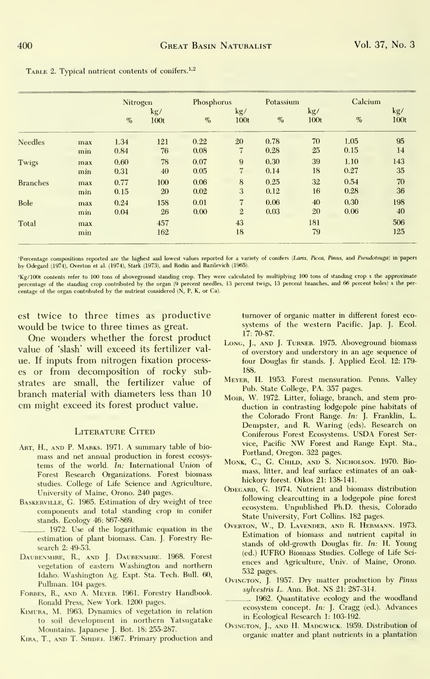|                 |            | Nitrogen |                         | Phosphorus |                | Potassium |             | Calcium |             |
|-----------------|------------|----------|-------------------------|------------|----------------|-----------|-------------|---------|-------------|
|                 |            | %        | kg/<br>100 <sub>t</sub> | $\%$       | kg/<br>100t    | $\%$      | kg/<br>100t | $\%$    | kg/<br>100t |
| <b>Needles</b>  | max        | 1.34     | 121                     | 0.22       | 20             | 0.78      | 70          | 1.05    | 95          |
|                 | min        | 0.84     | 76                      | 0.08       | 7              | 0.28      | 25          | 0.15    | 14          |
| Twigs           | max        | 0.60     | 78                      | 0.07       | $\overline{9}$ | 0.30      | 39          | 1.10    | 143         |
|                 | min        | 0.31     | 40                      | 0.05       | $\overline{7}$ | 0.14      | 18          | 0.27    | 35          |
| <b>Branches</b> | max        | 0.77     | 100                     | 0.06       | 8              | 0.25      | 32          | 0.54    | 70          |
|                 | min        | 0.15     | 20                      | 0.02       | 3              | 0.12      | 16          | 0.28    | 36          |
| Bole            | max        | 0.24     | 158                     | 0.01       | $7\phantom{.}$ | 0.06      | 40          | 0.30    | 198         |
|                 | min        | 0.04     | 26                      | 0.00       | $\overline{2}$ | 0.03      | 20          | 0.06    | 40          |
| Total           | max<br>min |          | 457<br>162              |            | 43<br>18       |           | 181<br>79   |         | 506<br>125  |

TABLE 2. Typical nutrient contents of conifers.<sup>1,2</sup>

'Percentage compositions reported are the highest and lowest values reported for a variety of conifers (Larix, Picea, Pinus, and Pseudotsuga) in papers by Odegard (1974), Overton et al. (1974), Stark (1973), and Rodin and Bazilevich (1965).

 $'$ Kg/100t contents refer to 100 tons of above<br>ground standing crop. They were calculated by multiplying 100 tons of standing crop<br>percentage of the standing crop contributed by the organ (9 percent needles, 13 percent tw

est twice to three times as productive would be twice to three times as great.

One wonders whether the forest product value of 'slash' will exceed its fertilizer value. If inputs from nitrogen fixation processes or from decomposition of rocky substrates are small, the fertilizer value of branch material with diameters less than 10 cm might exceed its forest product value.

#### **LITERATURE CITED**

- ART, H., AND P. MARKS. 1971. A summary table of biomass and net annual production in forest ecosystems of the world. In: International Union of Forest Research Organizations. Forest biomass studies. College of Life Science and Agriculture, University of Maine, Orono. 240 pages.
- BASKERVILLE, G. 1965. Estimation of dry weight of tree components and total standing crop in conifer stands. Ecology 46: 867-869.
	- . 1972. Use of the logarithmic equation in the estimation of plant biomass. Can. J. Forestry Research 2: 49-53
- DAUBENMIRE, R., AND J. DAUBENMIRE. 1968. Forest vegetation of eastern Washington and northern Idaho. Washington Ag. Expt. Sta. Tech. Bull. 60, Pullman. 104 pages.
- FORBES, R., AND A. MEYER. 1961. Forestry Handbook. Ronald Press, New York. 1200 pages.
- KIMURA, M. 1963. Dynamics of vegetation in relation to soil development in northern Yatsugatake Mountains. Japanese J. Bot. 18: 255-287.

KIRA, T., AND T. SHIDEL 1967. Primary production and

turnover of organic matter in different forest ecosystems of the western Pacific. Jap. J. Ecol. 17: 70-87.

- LONG, J., AND J. TURNER. 1975. Aboveground biomass of overstory and understory in an age sequence of four Douglas fir stands. J. Applied Ecol. 12: 179-188.
- MEYER, H. 1953. Forest mensuration. Penns. Valley Pub. State College, PA. 357 pages.
- MOIR, W. 1972. Litter, foliage, branch, and stem production in contrasting lodgepole pine habitats of the Colorado Front Range. In: J. Franklin, L.<br>Dempster, and R. Waring (eds). Research on Coniferous Forest Ecosystems. USDA Forest Service, Pacific NW Forest and Range Expt. Sta., Portland, Oregon. 322 pages.
- MONK, C., G. CHILD, AND S. NICHOLSON. 1970. Biomass, litter, and leaf surface estimates of an oakhickory forest. Oikos 21: 138-141.
- ODEGARD, G. 1974. Nutrient and biomass distribution following clearcutting in a lodgepole pine forest ecosystem. Unpublished Ph.D. thesis, Colorado State University, Fort Collins. 182 pages.
- OVERTON, W., D. LAVENDER, AND R. HERMANN. 1973. Estimation of biomass and nutrient capital in stands of old-growth Douglas fir. In: H. Young (ed.) IUFRO Biomass Studies. College of Life Sciences and Agriculture, Univ. of Maine, Orono. 532 pages.
- OVINGTON, J. 1957. Dry matter production by Pinus sylvestris L. Ann. Bot. NS 21: 287-314.

1962. Quantitative ecology and the woodland ecosystem concept. In: J. Cragg (ed.). Advances in Ecological Research 1: 103-192

OVINGTON, J., AND H. MADGWICK. 1959. Distribution of organic matter and plant nutrients in a plantation